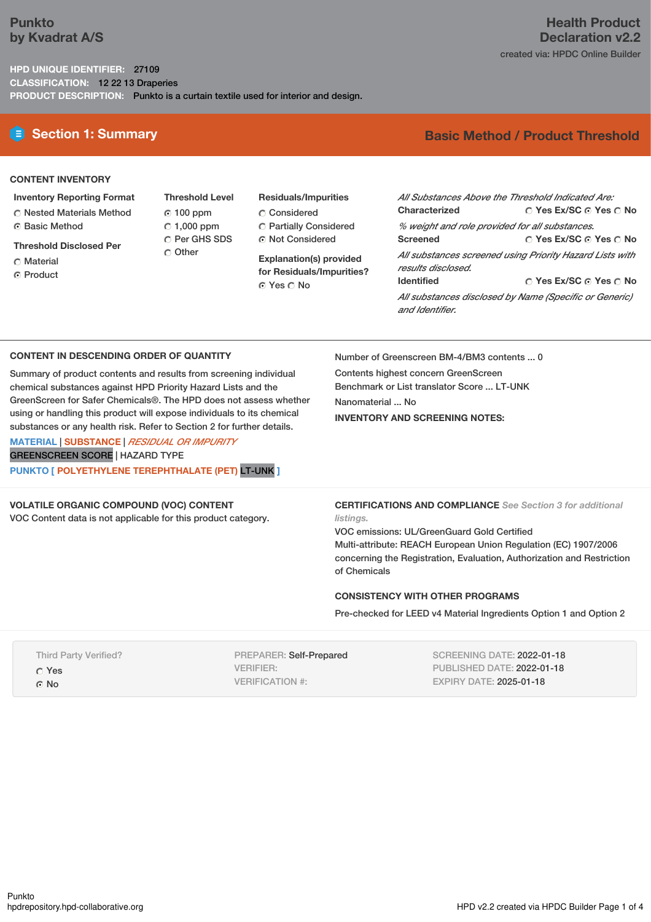# **Punkto by Kvadrat A/S**

**HPD UNIQUE IDENTIFIER:** 27109 **CLASSIFICATION:** 12 22 13 Draperies **PRODUCT DESCRIPTION:** Punkto is a curtain textile used for interior and design.

# **E** Section 1: Summary **Basic** Method / Product Threshold

### **CONTENT INVENTORY**

- **Inventory Reporting Format**
- Nested Materials Method
- Basic Method
- **Threshold Disclosed Per**
- C Material
- **C** Product

100 ppm  $\degree$  1,000 ppm C Per GHS SDS Other

**Threshold Level**

**Residuals/Impurities** Considered Partially Considered Not Considered

**Explanation(s) provided for Residuals/Impurities?** © Yes ∩ No

**Yes Ex/SC Yes No Yes Ex/SC Yes No Yes Ex/SC Yes No** *All Substances Above the Threshold Indicated Are:* **Characterized** *% weight and role provided for all substances.* **Screened** *All substances screened using Priority Hazard Lists with results disclosed.* **Identified** *All substances disclosed by Name (Specific or Generic) and Identifier.*

### **CONTENT IN DESCENDING ORDER OF QUANTITY**

Summary of product contents and results from screening individual chemical substances against HPD Priority Hazard Lists and the GreenScreen for Safer Chemicals®. The HPD does not assess whether using or handling this product will expose individuals to its chemical substances or any health risk. Refer to Section 2 for further details.

**MATERIAL** | **SUBSTANCE** | *RESIDUAL OR IMPURITY* GREENSCREEN SCORE | HAZARD TYPE **PUNKTO [ POLYETHYLENE TEREPHTHALATE (PET)** LT-UNK **]**

### **VOLATILE ORGANIC COMPOUND (VOC) CONTENT**

VOC Content data is not applicable for this product category.

Number of Greenscreen BM-4/BM3 contents ... 0

Contents highest concern GreenScreen Benchmark or List translator Score ... LT-UNK Nanomaterial ... No **INVENTORY AND SCREENING NOTES:**

**CERTIFICATIONS AND COMPLIANCE** *See Section 3 for additional listings.*

VOC emissions: UL/GreenGuard Gold Certified Multi-attribute: REACH European Union Regulation (EC) 1907/2006 concerning the Registration, Evaluation, Authorization and Restriction of Chemicals

### **CONSISTENCY WITH OTHER PROGRAMS**

Pre-checked for LEED v4 Material Ingredients Option 1 and Option 2

Third Party Verified? Yes G No

PREPARER: Self-Prepared VERIFIER: VERIFICATION #:

SCREENING DATE: 2022-01-18 PUBLISHED DATE: 2022-01-18 EXPIRY DATE: 2025-01-18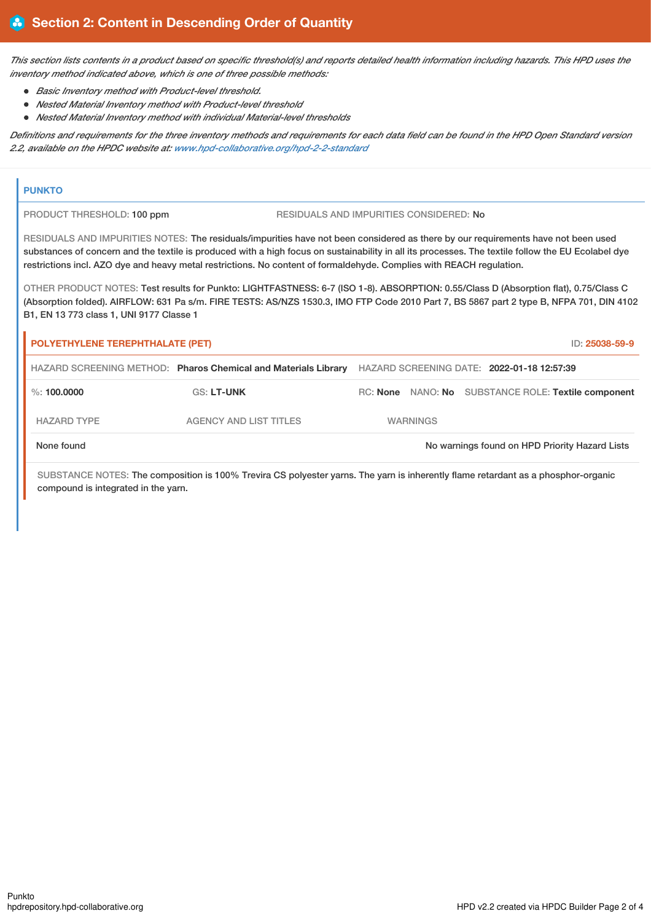This section lists contents in a product based on specific threshold(s) and reports detailed health information including hazards. This HPD uses the *inventory method indicated above, which is one of three possible methods:*

- *Basic Inventory method with Product-level threshold.*
- *Nested Material Inventory method with Product-level threshold*
- *Nested Material Inventory method with individual Material-level thresholds*

Definitions and requirements for the three inventory methods and requirements for each data field can be found in the HPD Open Standard version *2.2, available on the HPDC website at: [www.hpd-collaborative.org/hpd-2-2-standard](https://www.hpd-collaborative.org/hpd-2-2-standard)*

### **PUNKTO**

PRODUCT THRESHOLD: 100 ppm RESIDUALS AND IMPURITIES CONSIDERED: No

RESIDUALS AND IMPURITIES NOTES: The residuals/impurities have not been considered as there by our requirements have not been used substances of concern and the textile is produced with a high focus on sustainability in all its processes. The textile follow the EU Ecolabel dye restrictions incl. AZO dye and heavy metal restrictions. No content of formaldehyde. Complies with REACH regulation.

OTHER PRODUCT NOTES: Test results for Punkto: LIGHTFASTNESS: 6-7 (ISO 1-8). ABSORPTION: 0.55/Class D (Absorption flat), 0.75/Class C (Absorption folded). AIRFLOW: 631 Pa s/m. FIRE TESTS: AS/NZS 1530.3, IMO FTP Code 2010 Part 7, BS 5867 part 2 type B, NFPA 701, DIN 4102 B1, EN 13 773 class 1, UNI 9177 Classe 1

| <b>POLYETHYLENE TEREPHTHALATE (PET)</b>                        |                               |  |                                            |  |  |  | ID: 25038-59-9                                      |  |
|----------------------------------------------------------------|-------------------------------|--|--------------------------------------------|--|--|--|-----------------------------------------------------|--|
| HAZARD SCREENING METHOD: Pharos Chemical and Materials Library |                               |  | HAZARD SCREENING DATE: 2022-01-18 12:57:39 |  |  |  |                                                     |  |
| $\%$ : 100.0000                                                | <b>GS: LT-UNK</b>             |  |                                            |  |  |  | RC: None NANO: No SUBSTANCE ROLE: Textile component |  |
| <b>HAZARD TYPE</b>                                             | <b>AGENCY AND LIST TITLES</b> |  | <b>WARNINGS</b>                            |  |  |  |                                                     |  |
| None found                                                     |                               |  |                                            |  |  |  | No warnings found on HPD Priority Hazard Lists      |  |

SUBSTANCE NOTES: The composition is 100% Trevira CS polyester yarns. The yarn is inherently flame retardant as a phosphor-organic compound is integrated in the yarn.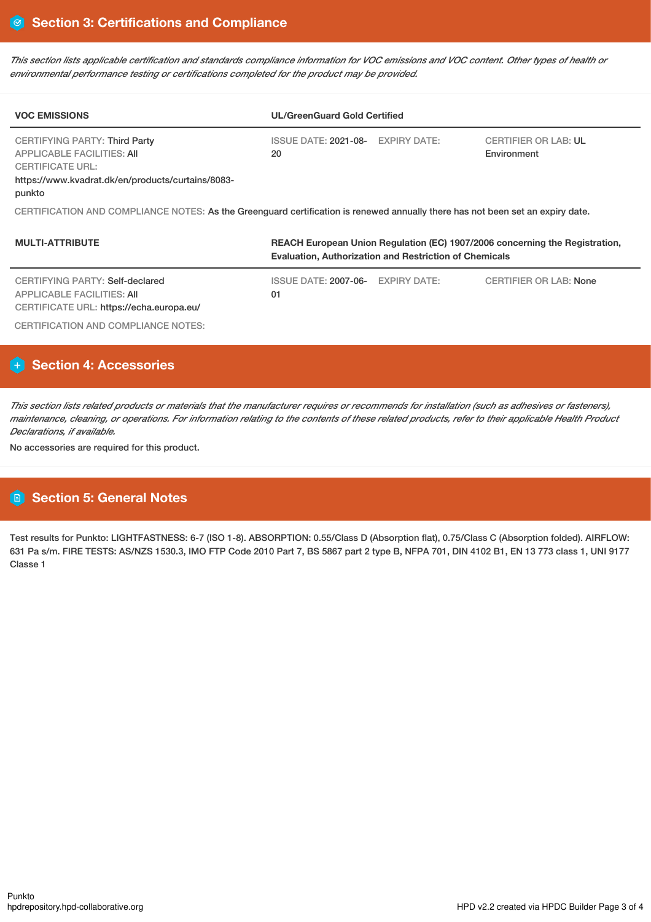This section lists applicable certification and standards compliance information for VOC emissions and VOC content. Other types of health or *environmental performance testing or certifications completed for the product may be provided.*

| <b>VOC EMISSIONS</b>                                                                                                                                         | <b>UL/GreenGuard Gold Certified</b>     |                                            |  |  |  |  |  |  |
|--------------------------------------------------------------------------------------------------------------------------------------------------------------|-----------------------------------------|--------------------------------------------|--|--|--|--|--|--|
| CERTIFYING PARTY: Third Party<br><b>APPLICABLE FACILITIES: AII</b><br><b>CERTIFICATE URL:</b><br>https://www.kvadrat.dk/en/products/curtains/8083-<br>punkto | ISSUE DATE: 2021-08- EXPIRY DATE:<br>20 | <b>CERTIFIER OR LAB: UL</b><br>Environment |  |  |  |  |  |  |
| CERTIFICATION AND COMPLIANCE NOTES: As the Greenguard certification is renewed annually there has not been set an expiry date.                               |                                         |                                            |  |  |  |  |  |  |

| <b>MULTI-ATTRIBUTE</b>                                                                                    | REACH European Union Regulation (EC) 1907/2006 concerning the Registration,<br><b>Evaluation, Authorization and Restriction of Chemicals</b> |              |                               |  |  |  |
|-----------------------------------------------------------------------------------------------------------|----------------------------------------------------------------------------------------------------------------------------------------------|--------------|-------------------------------|--|--|--|
| CERTIFYING PARTY: Self-declared<br>APPLICABLE FACILITIES: AII<br>CERTIFICATE URL: https://echa.europa.eu/ | <b>ISSUE DATE: 2007-06-</b><br>01                                                                                                            | EXPIRY DATE: | <b>CERTIFIER OR LAB: None</b> |  |  |  |
| CERTIFICATION AND COMPLIANCE NOTES:                                                                       |                                                                                                                                              |              |                               |  |  |  |

# **Section 4: Accessories**

This section lists related products or materials that the manufacturer requires or recommends for installation (such as adhesives or fasteners), maintenance, cleaning, or operations. For information relating to the contents of these related products, refer to their applicable Health Product *Declarations, if available.*

No accessories are required for this product.

# **Section 5: General Notes**

Test results for Punkto: LIGHTFASTNESS: 6-7 (ISO 1-8). ABSORPTION: 0.55/Class D (Absorption flat), 0.75/Class C (Absorption folded). AIRFLOW: 631 Pa s/m. FIRE TESTS: AS/NZS 1530.3, IMO FTP Code 2010 Part 7, BS 5867 part 2 type B, NFPA 701, DIN 4102 B1, EN 13 773 class 1, UNI 9177 Classe 1